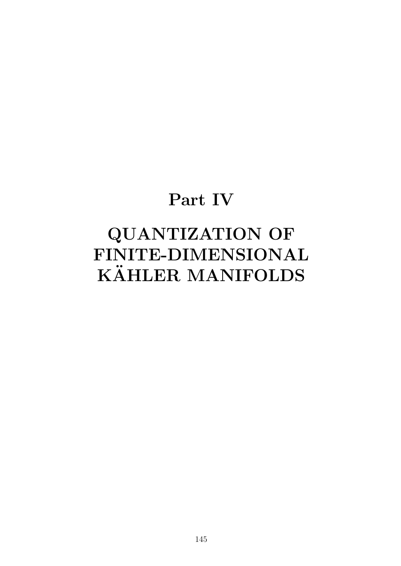# **Part IV**

# **QUANTIZATION OF FINITE-DIMENSIONAL KAHLER MANIFOLDS ¨**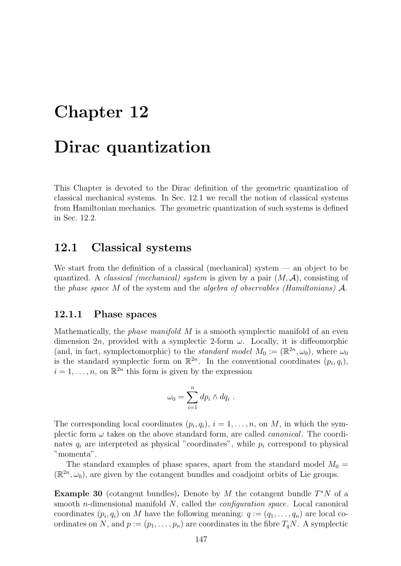# **Chapter 12**

## **Dirac quantization**

This Chapter is devoted to the Dirac definition of the geometric quantization of classical mechanical systems. In Sec. 12.1 we recall the notion of classical systems from Hamiltonian mechanics. The geometric quantization of such systems is defined in Sec. 12.2.

### **12.1 Classical systems**

We start from the definition of a classical (mechanical) system — an object to be quantized. A *classical (mechanical) system* is given by a pair (*M, A*), consisting of the *phase space M* of the system and the *algebra of observables (Hamiltonians) A*.

### **12.1.1 Phase spaces**

Mathematically, the *phase manifold M* is a smooth symplectic manifold of an even dimension 2*n*, provided with a symplectic 2-form *ω*. Locally, it is diffeomorphic (and, in fact, symplectomorphic) to the *standard model*  $M_0 := (\mathbb{R}^{2n}, \omega_0)$ , where  $\omega_0$ is the standard symplectic form on  $\mathbb{R}^{2n}$ . In the conventional coordinates  $(p_i, q_i)$ ,  $i = 1, \ldots, n$ , on  $\mathbb{R}^{2n}$  this form is given by the expression

$$
\omega_0 = \sum_{i=1}^n dp_i \wedge dq_i .
$$

The corresponding local coordinates  $(p_i, q_i)$ ,  $i = 1, \ldots, n$ , on *M*, in which the symplectic form  $\omega$  takes on the above standard form, are called *canonical*. The coordinates  $q_i$  are interpreted as physical "coordinates", while  $p_i$  correspond to physical "momenta".

The standard examples of phase spaces, apart from the standard model  $M_0 =$  $(\mathbb{R}^{2n}, \omega_0)$ , are given by the cotangent bundles and coadjoint orbits of Lie groups.

**Example 30** (cotangent bundles)**.** Denote by *M* the cotangent bundle *T<sup>∗</sup>N* of a smooth *n*-dimensional manifold *N*, called the *configuration space*. Local canonical coordinates  $(p_i, q_i)$  on *M* have the following meaning:  $q := (q_1, \ldots, q_n)$  are local coordinates on *N*, and  $p := (p_1, \ldots, p_n)$  are coordinates in the fibre  $T_qN$ . A symplectic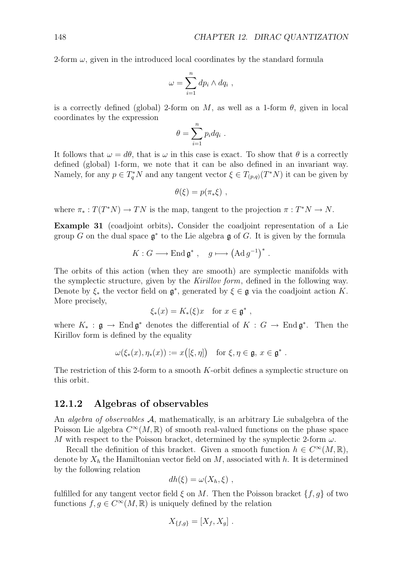2-form  $\omega$ , given in the introduced local coordinates by the standard formula

$$
\omega = \sum_{i=1}^n dp_i \wedge dq_i ,
$$

is a correctly defined (global) 2-form on  $M$ , as well as a 1-form  $\theta$ , given in local coordinates by the expression

$$
\theta = \sum_{i=1}^n p_i dq_i .
$$

It follows that  $\omega = d\theta$ , that is  $\omega$  in this case is exact. To show that  $\theta$  is a correctly defined (global) 1-form, we note that it can be also defined in an invariant way. Namely, for any  $p \in T_q^* N$  and any tangent vector  $\xi \in T_{(p,q)}(T^* N)$  it can be given by

$$
\theta(\xi)=p(\pi_*\xi)\;,
$$

where  $\pi_* : T(T^*N) \to TN$  is the map, tangent to the projection  $\pi : T^*N \to N$ .

**Example 31** (coadjoint orbits)**.** Consider the coadjoint representation of a Lie group *G* on the dual space  $\mathfrak{g}^*$  to the Lie algebra  $\mathfrak{g}$  of *G*. It is given by the formula

$$
K: G \longrightarrow \text{End } \mathfrak{g}^*, \quad g \longmapsto \left(\text{Ad } g^{-1}\right)^*.
$$

The orbits of this action (when they are smooth) are symplectic manifolds with the symplectic structure, given by the *Kirillov form*, defined in the following way. Denote by  $\xi_*$  the vector field on  $\mathfrak{g}^*$ , generated by  $\xi \in \mathfrak{g}$  via the coadjoint action *K*. More precisely,

$$
\xi_*(x) = K_*(\xi)x \quad \text{for } x \in \mathfrak{g}^*,
$$

where  $K_* : \mathfrak{g} \to \text{End } \mathfrak{g}^*$  denotes the differential of  $K : G \to \text{End } \mathfrak{g}^*$ . Then the Kirillov form is defined by the equality

$$
\omega(\xi_*(x), \eta_*(x)) := x([\xi, \eta]) \quad \text{for } \xi, \eta \in \mathfrak{g}, x \in \mathfrak{g}^*.
$$

The restriction of this 2-form to a smooth *K*-orbit defines a symplectic structure on this orbit.

### **12.1.2 Algebras of observables**

An *algebra of observables A*, mathematically, is an arbitrary Lie subalgebra of the Poisson Lie algebra  $C^{\infty}(M,\mathbb{R})$  of smooth real-valued functions on the phase space *M* with respect to the Poisson bracket, determined by the symplectic 2-form  $\omega$ .

Recall the definition of this bracket. Given a smooth function  $h \in C^{\infty}(M,\mathbb{R}),$ denote by  $X_h$  the Hamiltonian vector field on  $M$ , associated with  $h$ . It is determined by the following relation

$$
dh(\xi) = \omega(X_h, \xi) ,
$$

fulfilled for any tangent vector field  $\xi$  on M. Then the Poisson bracket  $\{f, g\}$  of two functions  $f, g \in C^{\infty}(M, \mathbb{R})$  is uniquely defined by the relation

$$
X_{\{f,g\}}=[X_f,X_g].
$$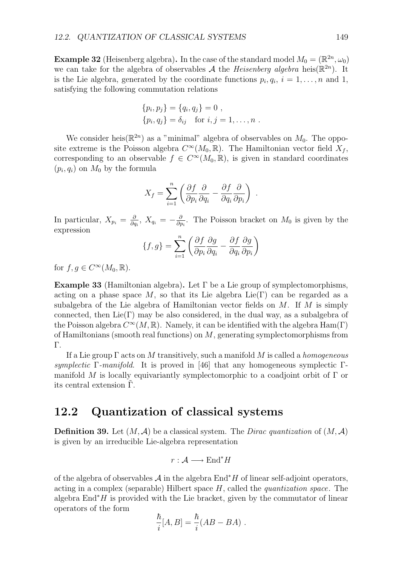**Example 32** (Heisenberg algebra). In the case of the standard model  $M_0 = (\mathbb{R}^{2n}, \omega_0)$ we can take for the algebra of observables  $A$  the *Heisenberg algebra* heis( $\mathbb{R}^{2n}$ ). It is the Lie algebra, generated by the coordinate functions  $p_i, q_i, i = 1, \ldots, n$  and 1, satisfying the following commutation relations

$$
\{p_i, p_j\} = \{q_i, q_j\} = 0 ,
$$
  

$$
\{p_i, q_j\} = \delta_{ij} \text{ for } i, j = 1, ..., n .
$$

We consider heis( $\mathbb{R}^{2n}$ ) as a "minimal" algebra of observables on  $M_0$ . The opposite extreme is the Poisson algebra  $C^{\infty}(M_0, \mathbb{R})$ . The Hamiltonian vector field  $X_f$ , corresponding to an observable  $f \in C^{\infty}(M_0, \mathbb{R})$ , is given in standard coordinates  $(p_i, q_i)$  on  $M_0$  by the formula

$$
X_f = \sum_{i=1}^n \left( \frac{\partial f}{\partial p_i} \frac{\partial}{\partial q_i} - \frac{\partial f}{\partial q_i} \frac{\partial}{\partial p_i} \right) .
$$

In particular,  $X_{p_i} = \frac{\partial}{\partial q_i}$ ,  $X_{q_i} = -\frac{\partial}{\partial p_i}$ . The Poisson bracket on  $M_0$  is given by the expression

$$
\{f,g\} = \sum_{i=1}^{n} \left( \frac{\partial f}{\partial p_i} \frac{\partial g}{\partial q_i} - \frac{\partial f}{\partial q_i} \frac{\partial g}{\partial p_i} \right)
$$

for  $f, g \in C^{\infty}(M_0, \mathbb{R})$ .

**Example 33** (Hamiltonian algebra)**.** Let Γ be a Lie group of symplectomorphisms, acting on a phase space M, so that its Lie algebra  $Lie(\Gamma)$  can be regarded as a subalgebra of the Lie algebra of Hamiltonian vector fields on *M*. If *M* is simply connected, then  $Lie(\Gamma)$  may be also considered, in the dual way, as a subalgebra of the Poisson algebra  $C^{\infty}(M,\mathbb{R})$ . Namely, it can be identified with the algebra  $\text{Ham}(\Gamma)$ of Hamiltonians (smooth real functions) on *M*, generating symplectomorphisms from Γ.

If a Lie group Γ acts on *M* transitively, such a manifold *M* is called a *homogeneous symplectic* Γ*-manifold*. It is proved in [46] that any homogeneous symplectic Γmanifold *M* is locally equivariantly symplectomorphic to a coadjoint orbit of Γ or its central extension  $\Gamma$ .

## **12.2 Quantization of classical systems**

**Definition 39.** Let  $(M, \mathcal{A})$  be a classical system. The *Dirac quantization* of  $(M, \mathcal{A})$ is given by an irreducible Lie-algebra representation

$$
r: \mathcal{A} \longrightarrow \text{End}^*H
$$

of the algebra of observables *A* in the algebra End*<sup>∗</sup> H* of linear self-adjoint operators, acting in a complex (separable) Hilbert space *H*, called the *quantization space*. The algebra End*<sup>∗</sup> H* is provided with the Lie bracket, given by the commutator of linear operators of the form

$$
\frac{\hbar}{i}[A,B] = \frac{\hbar}{i}(AB - BA) .
$$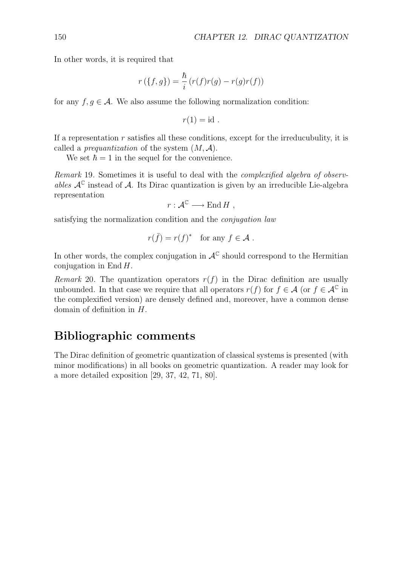In other words, it is required that

$$
r(\lbrace f, g \rbrace) = \frac{\hbar}{i} (r(f)r(g) - r(g)r(f))
$$

for any  $f, g \in \mathcal{A}$ . We also assume the following normalization condition:

$$
r(1) = id.
$$

If a representation *r* satisfies all these conditions, except for the irreducubulity, it is called a *prequantization* of the system (*M, A*).

We set  $\hbar = 1$  in the sequel for the convenience.

*Remark* 19*.* Sometimes it is useful to deal with the *complexified algebra of observables*  $A^{\mathbb{C}}$  instead of A. Its Dirac quantization is given by an irreducible Lie-algebra representation

 $r: \mathcal{A}^{\mathbb{C}} \longrightarrow \text{End } H$ ,

satisfying the normalization condition and the *conjugation law*

$$
r(\bar{f}) = r(f)^*
$$
 for any  $f \in \mathcal{A}$ .

In other words, the complex conjugation in  $A^{\mathbb{C}}$  should correspond to the Hermitian conjugation in End *H*.

*Remark* 20. The quantization operators  $r(f)$  in the Dirac definition are usually unbounded. In that case we require that all operators  $r(f)$  for  $f \in \mathcal{A}$  (or  $f \in \mathcal{A}^{\mathbb{C}}$  in the complexified version) are densely defined and, moreover, have a common dense domain of definition in *H*.

## **Bibliographic comments**

The Dirac definition of geometric quantization of classical systems is presented (with minor modifications) in all books on geometric quantization. A reader may look for a more detailed exposition [29, 37, 42, 71, 80].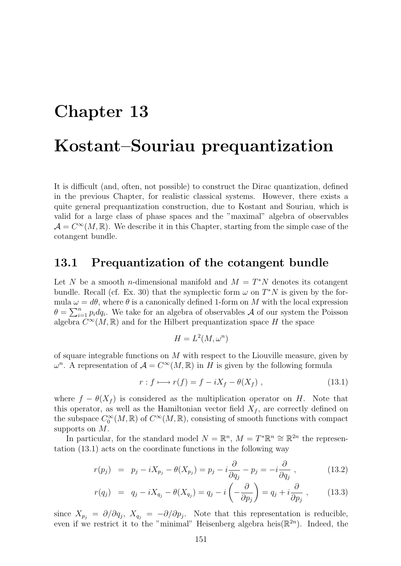## **Chapter 13**

## **Kostant–Souriau prequantization**

It is difficult (and, often, not possible) to construct the Dirac quantization, defined in the previous Chapter, for realistic classical systems. However, there exists a quite general prequantization construction, due to Kostant and Souriau, which is valid for a large class of phase spaces and the "maximal" algebra of observables  $\mathcal{A} = C^{\infty}(M,\mathbb{R})$ . We describe it in this Chapter, starting from the simple case of the cotangent bundle.

## **13.1 Prequantization of the cotangent bundle**

Let *N* be a smooth *n*-dimensional manifold and  $M = T^*N$  denotes its cotangent bundle. Recall (cf. Ex. 30) that the symplectic form  $\omega$  on  $T^*N$  is given by the formula  $\omega = d\theta$ , where  $\theta$  is a canonically defined 1-form on *M* with the local expression  $\theta = \sum_{i=1}^{n} p_i dq_i$ . We take for an algebra of observables *A* of our system the Poisson algebra  $C^{\infty}(M,\mathbb{R})$  and for the Hilbert prequantization space *H* the space

$$
H = L^2(M, \omega^n)
$$

of square integrable functions on *M* with respect to the Liouville measure, given by *ω*<sup>*n*</sup>. A representation of *A* = *C*<sup>∞</sup>(*M*, ℝ) in *H* is given by the following formula

$$
r: f \longmapsto r(f) = f - iX_f - \theta(X_f) , \qquad (13.1)
$$

where  $f - \theta(X_f)$  is considered as the multiplication operator on *H*. Note that this operator, as well as the Hamiltonian vector field  $X_f$ , are correctly defined on the subspace  $C_0^{\infty}(M,\mathbb{R})$  of  $C^{\infty}(M,\mathbb{R})$ , consisting of smooth functions with compact supports on *M*.

In particular, for the standard model  $N = \mathbb{R}^n$ ,  $M = T^* \mathbb{R}^n \cong \mathbb{R}^{2n}$  the representation (13.1) acts on the coordinate functions in the following way

$$
r(p_j) = p_j - iX_{p_j} - \theta(X_{p_j}) = p_j - i\frac{\partial}{\partial q_j} - p_j = -i\frac{\partial}{\partial q_j} , \qquad (13.2)
$$

$$
r(q_j) = q_j - iX_{q_j} - \theta(X_{q_j}) = q_j - i\left(-\frac{\partial}{\partial p_j}\right) = q_j + i\frac{\partial}{\partial p_j}, \qquad (13.3)
$$

since  $X_{p_j} = \partial/\partial q_j$ ,  $X_{q_j} = -\partial/\partial p_j$ . Note that this representation is reducible, even if we restrict it to the "minimal" Heisenberg algebra heis $(\mathbb{R}^{2n})$ . Indeed, the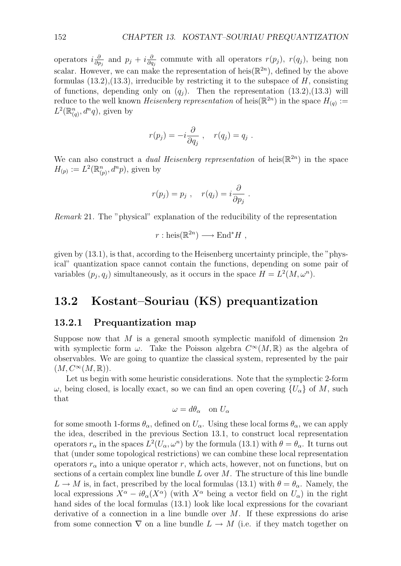operators  $i\frac{\partial}{\partial p_j}$  and  $p_j + i\frac{\partial}{\partial q_j}$  commute with all operators  $r(p_j)$ ,  $r(q_j)$ , being non scalar. However, we can make the representation of heis $(\mathbb{R}^{2n})$ , defined by the above formulas (13.2),(13.3), irreducible by restricting it to the subspace of *H*, consisting of functions, depending only on  $(q_i)$ . Then the representation (13.2),(13.3) will reduce to the well known *Heisenberg representation* of heis $(\mathbb{R}^{2n})$  in the space  $H_{(q)}$  :=  $L^2(\mathbb{R}_{(q)}^n, d^n q)$ , given by

$$
r(p_j) = -i \frac{\partial}{\partial q_j} , \quad r(q_j) = q_j .
$$

We can also construct a *dual Heisenberg representation* of heis $(\mathbb{R}^{2n})$  in the space  $H_{(p)} := L^2(\mathbb{R}_{(p)}^n, d^n p)$ , given by

$$
r(p_j) = p_j \, , \quad r(q_j) = i \frac{\partial}{\partial p_j} \, .
$$

*Remark* 21*.* The "physical" explanation of the reducibility of the representation

$$
r : \text{heis}(\mathbb{R}^{2n}) \longrightarrow \text{End}^*H
$$
,

given by (13.1), is that, according to the Heisenberg uncertainty principle, the "physical" quantization space cannot contain the functions, depending on some pair of variables  $(p_j, q_j)$  simultaneously, as it occurs in the space  $H = L^2(M, \omega^n)$ .

## **13.2 Kostant–Souriau (KS) prequantization**

#### **13.2.1 Prequantization map**

Suppose now that *M* is a general smooth symplectic manifold of dimension 2*n* with symplectic form  $\omega$ . Take the Poisson algebra  $C^{\infty}(M,\mathbb{R})$  as the algebra of observables. We are going to quantize the classical system, represented by the pair  $(M, C^{\infty}(M,\mathbb{R})).$ 

Let us begin with some heuristic considerations. Note that the symplectic 2-form *ω*, being closed, is locally exact, so we can find an open covering  ${U_\alpha}$  of *M*, such that

$$
\omega = d\theta_{\alpha} \quad \text{on } U_{\alpha}
$$

for some smooth 1-forms  $\theta_{\alpha}$ , defined on  $U_{\alpha}$ . Using these local forms  $\theta_{\alpha}$ , we can apply the idea, described in the previous Section 13.1, to construct local representation operators  $r_{\alpha}$  in the spaces  $L^2(U_{\alpha}, \omega^n)$  by the formula (13.1) with  $\theta = \theta_{\alpha}$ . It turns out that (under some topological restrictions) we can combine these local representation operators  $r_\alpha$  into a unique operator *r*, which acts, however, not on functions, but on sections of a certain complex line bundle *L* over *M*. The structure of this line bundle  $L \rightarrow M$  is, in fact, prescribed by the local formulas (13.1) with  $\theta = \theta_{\alpha}$ . Namely, the local expressions  $X^{\alpha} - i\theta_{\alpha}(X^{\alpha})$  (with  $X^{\alpha}$  being a vector field on  $U_{\alpha}$ ) in the right hand sides of the local formulas (13.1) look like local expressions for the covariant derivative of a connection in a line bundle over *M*. If these expressions do arise from some connection  $\nabla$  on a line bundle  $L \to M$  (i.e. if they match together on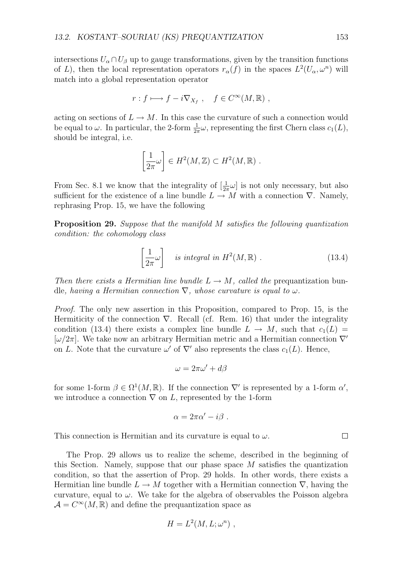intersections  $U_{\alpha} \cap U_{\beta}$  up to gauge transformations, given by the transition functions of *L*), then the local representation operators  $r_{\alpha}(f)$  in the spaces  $L^2(U_{\alpha}, \omega^n)$  will match into a global representation operator

$$
r: f \longmapsto f - i \nabla_{X_f} , \quad f \in C^{\infty}(M, \mathbb{R}) ,
$$

acting on sections of  $L \to M$ . In this case the curvature of such a connection would be equal to  $\omega$ . In particular, the 2-form  $\frac{1}{2\pi}\omega$ , representing the first Chern class  $c_1(L)$ , should be integral, i.e.

$$
\left[\frac{1}{2\pi}\omega\right] \in H^2(M,\mathbb{Z}) \subset H^2(M,\mathbb{R}) \ .
$$

From Sec. 8.1 we know that the integrality of  $\left[\frac{1}{2\pi}\omega\right]$  is not only necessary, but also sufficient for the existence of a line bundle  $L \rightarrow M$  with a connection  $\nabla$ . Namely, rephrasing Prop. 15, we have the following

**Proposition 29.** *Suppose that the manifold M satisfies the following quantization condition: the cohomology class*

$$
\left[\frac{1}{2\pi}\omega\right] \quad \text{is integral in } H^2(M, \mathbb{R}) \ . \tag{13.4}
$$

*Then there exists a Hermitian line bundle*  $L \rightarrow M$ *, called the* prequantization bundle, having a Hermitian connection  $\nabla$ *, whose curvature is equal to*  $\omega$ *.* 

*Proof.* The only new assertion in this Proposition, compared to Prop. 15, is the Hermiticity of the connection *∇*. Recall (cf. Rem. 16) that under the integrality condition (13.4) there exists a complex line bundle  $L \rightarrow M$ , such that  $c_1(L)$ [*ω/*2*π*]. We take now an arbitrary Hermitian metric and a Hermitian connection *∇′* on *L*. Note that the curvature  $\omega'$  of  $\nabla'$  also represents the class  $c_1(L)$ . Hence,

$$
\omega = 2\pi\omega' + d\beta
$$

for some 1-form  $\beta \in \Omega^1(M,\mathbb{R})$ . If the connection  $\nabla'$  is represented by a 1-form  $\alpha'$ , we introduce a connection  $\nabla$  on *L*, represented by the 1-form

$$
\alpha = 2\pi\alpha' - i\beta \ .
$$

This connection is Hermitian and its curvature is equal to *ω*.

The Prop. 29 allows us to realize the scheme, described in the beginning of this Section. Namely, suppose that our phase space *M* satisfies the quantization condition, so that the assertion of Prop. 29 holds. In other words, there exists a Hermitian line bundle  $L \to M$  together with a Hermitian connection  $\nabla$ , having the curvature, equal to  $\omega$ . We take for the algebra of observables the Poisson algebra  $\mathcal{A} = C^{\infty}(M,\mathbb{R})$  and define the prequantization space as

$$
H = L^2(M, L; \omega^n) ,
$$

 $\Box$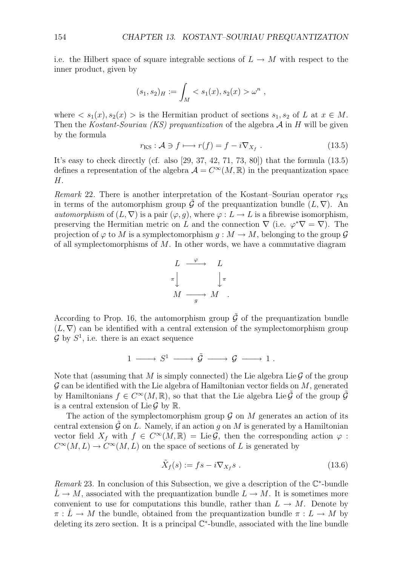i.e. the Hilbert space of square integrable sections of  $L \rightarrow M$  with respect to the inner product, given by

$$
(s_1, s_2)_H := \int_M < s_1(x), s_2(x) > \omega^n \; ,
$$

where  $\langle s_1(x), s_2(x) \rangle$  is the Hermitian product of sections  $s_1, s_2$  of *L* at  $x \in M$ . Then the *Kostant-Souriau (KS) prequantization* of the algebra *A* in *H* will be given by the formula

$$
r_{\rm KS}: \mathcal{A} \ni f \longmapsto r(f) = f - i \nabla_{X_f} . \tag{13.5}
$$

It's easy to check directly (cf. also [29, 37, 42, 71, 73, 80]) that the formula (13.5) defines a representation of the algebra  $\mathcal{A} = C^{\infty}(M,\mathbb{R})$  in the prequantization space *H*.

*Remark* 22. There is another interpretation of the Kostant–Souriau operator  $r_{\text{KS}}$ in terms of the automorphism group  $\tilde{G}$  of the prequantization bundle  $(L, \nabla)$ . An *automorphism* of  $(L, \nabla)$  is a pair  $(\varphi, g)$ , where  $\varphi : L \to L$  is a fibrewise isomorphism, preserving the Hermitian metric on *L* and the connection  $\nabla$  (i.e.  $\varphi^* \nabla = \nabla$ ). The projection of  $\varphi$  to *M* is a symplectomorphism  $q : M \to M$ , belonging to the group  $\mathcal G$ of all symplectomorphisms of *M*. In other words, we have a commutative diagram

$$
\begin{array}{ccc}\nL & \xrightarrow{\varphi} & L \\
\pi & & \downarrow{\pi} \\
M & \xrightarrow{g} & M\n\end{array}
$$

According to Prop. 16, the automorphism group  $\tilde{G}$  of the prequantization bundle  $(L, \nabla)$  can be identified with a central extension of the symplectomorphism group  $\mathcal{G}$  by  $S^1$ , i.e. there is an exact sequence

$$
1 \longrightarrow S^1 \longrightarrow \tilde{\mathcal{G}} \longrightarrow \mathcal{G} \longrightarrow 1.
$$

Note that (assuming that  $M$  is simply connected) the Lie algebra Lie  $\mathcal G$  of the group *G* can be identified with the Lie algebra of Hamiltonian vector fields on *M*, generated by Hamiltonians  $f \in C^{\infty}(M,\mathbb{R})$ , so that that the Lie algebra Lie  $\tilde{\mathcal{G}}$  of the group  $\tilde{\mathcal{G}}$ is a central extension of Lie  $\mathcal G$  by  $\mathbb R$ .

The action of the symplectomorphism group  $G$  on  $M$  generates an action of its central extension  $\tilde{G}$  on *L*. Namely, if an action *q* on *M* is generated by a Hamiltonian vector field  $X_f$  with  $f \in C^{\infty}(M,\mathbb{R}) = \text{Lie}\mathcal{G}$ , then the corresponding action  $\varphi$ :  $C^{\infty}(M, L) \to C^{\infty}(M, L)$  on the space of sections of *L* is generated by

$$
\tilde{X}_f(s) := fs - i \nabla_{X_f} s . \qquad (13.6)
$$

*Remark* 23*.* In conclusion of this Subsection, we give a description of the C*<sup>∗</sup>*-bundle  $L \rightarrow M$ , associated with the prequantization bundle  $L \rightarrow M$ . It is sometimes more convenient to use for computations this bundle, rather than  $L \to M$ . Denote by  $\pi : L \to M$  the bundle, obtained from the prequantization bundle  $\pi : L \to M$  by deleting its zero section. It is a principal C*<sup>∗</sup>*-bundle, associated with the line bundle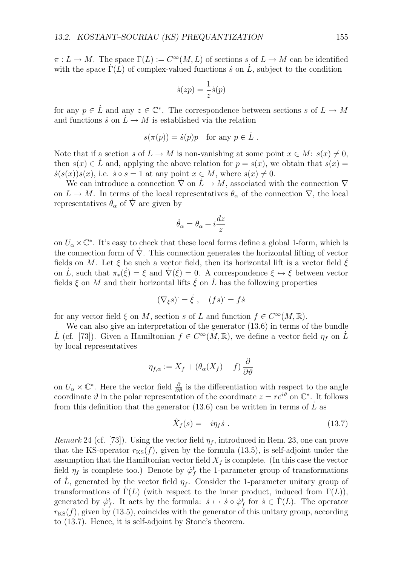$\pi: L \to M$ . The space  $\Gamma(L) := C^{\infty}(M, L)$  of sections *s* of  $L \to M$  can be identified with the space  $\Gamma(L)$  of complex-valued functions *i* on L, subject to the condition

$$
\dot{s}(zp) = \frac{1}{z}\dot{s}(p)
$$

for any  $p \in L$  and any  $z \in \mathbb{C}^*$ . The correspondence between sections *s* of  $L \to M$ and functions  $\dot{s}$  on  $\dot{L} \rightarrow M$  is established via the relation

$$
s(\pi(p)) = \dot{s}(p)p \quad \text{for any } p \in \dot{L} .
$$

Note that if a section *s* of  $L \to M$  is non-vanishing at some point  $x \in M$ :  $s(x) \neq 0$ , then  $s(x) \in L$  and, applying the above relation for  $p = s(x)$ , we obtain that  $s(x) =$  $\dot{s}(s(x))s(x)$ , i.e.  $\dot{s} \circ s = 1$  at any point  $x \in M$ , where  $s(x) \neq 0$ .

We can introduce a connection  $\nabla$  on  $\dot{L} \to M$ , associated with the connection  $\nabla$ on  $L \to M$ . In terms of the local representatives  $\theta_{\alpha}$  of the connection  $\nabla$ , the local representatives  $\dot{\theta}_{\alpha}$  of  $\dot{\nabla}$  are given by

$$
\dot{\theta}_{\alpha} = \theta_{\alpha} + i\frac{dz}{z}
$$

on  $U_{\alpha} \times \mathbb{C}^*$ . It's easy to check that these local forms define a global 1-form, which is the connection form of *∇*˙ . This connection generates the horizontal lifting of vector fields on *M*. Let  $\xi$  be such a vector field, then its horizontal lift is a vector field  $\dot{\xi}$ on  $\dot{L}$ , such that  $\pi_*(\dot{\xi}) = \xi$  and  $\dot{\nabla}(\dot{\xi}) = 0$ . A correspondence  $\xi \leftrightarrow \dot{\xi}$  between vector fields  $\xi$  on  $M$  and their horizontal lifts  $\dot{\xi}$  on  $\dot{L}$  has the following properties

$$
(\nabla_{\xi} s)^{\cdot} = \dot{\xi} , \quad (fs)^{\cdot} = fs
$$

for any vector field  $\xi$  on *M*, section *s* of *L* and function  $f \in C^{\infty}(M,\mathbb{R})$ .

We can also give an interpretation of the generator (13.6) in terms of the bundle *L*<sup> $\dot{L}$ </sup> (cf. [73]). Given a Hamiltonian  $f \in C^{\infty}(M,\mathbb{R})$ , we define a vector field  $\eta_f$  on  $\dot{L}$ by local representatives

$$
\eta_{f,\alpha} := X_f + (\theta_\alpha(X_f) - f) \frac{\partial}{\partial \vartheta}
$$

on  $U_{\alpha} \times \mathbb{C}^*$ . Here the vector field  $\frac{\partial}{\partial \theta}$  is the differentiation with respect to the angle coordinate  $\vartheta$  in the polar representation of the coordinate  $z = re^{i\vartheta}$  on  $\mathbb{C}^*$ . It follows from this definition that the generator  $(13.6)$  can be written in terms of L as

$$
\tilde{X}_f(s) = -i\eta_f \dot{s} \tag{13.7}
$$

*Remark* 24 (cf. [73])*.* Using the vector field *η<sup>f</sup>* , introduced in Rem. 23, one can prove that the KS-operator  $r_{\text{KS}}(f)$ , given by the formula (13.5), is self-adjoint under the assumption that the Hamiltonian vector field  $X_f$  is complete. (In this case the vector field  $\eta_f$  is complete too.) Denote by  $\dot{\varphi}_f^t$  the 1-parameter group of transformations of L, generated by the vector field  $\eta_f$ . Consider the 1-parameter unitary group of transformations of  $\Gamma(L)$  (with respect to the inner product, induced from  $\Gamma(L)$ ), generated by  $\varphi_f^t$ . It acts by the formula:  $\dot{s} \mapsto \dot{s} \circ \varphi_f^t$  for  $\dot{s} \in \dot{\Gamma}(L)$ . The operator  $r_{\text{KS}}(f)$ , given by (13.5), coincides with the generator of this unitary group, according to (13.7). Hence, it is self-adjoint by Stone's theorem.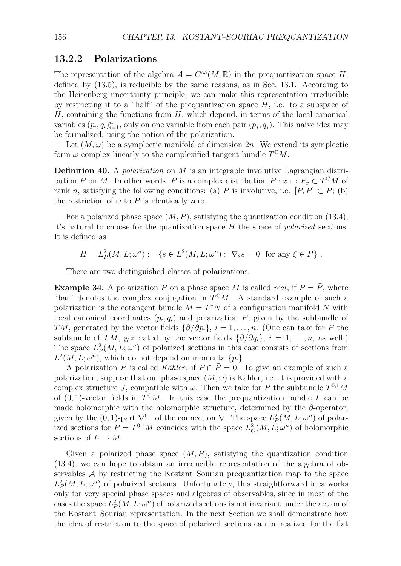### **13.2.2 Polarizations**

The representation of the algebra  $\mathcal{A} = C^{\infty}(M,\mathbb{R})$  in the prequantization space *H*, defined by (13.5), is reducible by the same reasons, as in Sec. 13.1. According to the Heisenberg uncertainty principle, we can make this representation irreducible by restricting it to a "half" of the prequantization space  $H$ , i.e. to a subspace of *H*, containing the functions from *H*, which depend, in terms of the local canonical variables  $(p_i, q_i)_{i=1}^n$ , only on one variable from each pair  $(p_j, q_j)$ . This naive idea may be formalized, using the notion of the polarization.

Let  $(M, \omega)$  be a symplectic manifold of dimension 2*n*. We extend its symplectic form  $\omega$  complex linearly to the complexified tangent bundle  $T^{\mathbb{C}}M$ .

**Definition 40.** A *polarization* on *M* is an integrable involutive Lagrangian distribution *P* on *M*. In other words, *P* is a complex distribution  $P: x \mapsto P_x \subset T^{\mathbb{C}}M$  of rank *n*, satisfying the following conditions: (a) *P* is involutive, i.e.  $[P, P] \subset P$ ; (b) the restriction of  $\omega$  to P is identically zero.

For a polarized phase space (*M, P*), satisfying the quantization condition (13.4), it's natural to choose for the quantization space *H* the space of *polarized* sections. It is defined as

 $H = L_P^2(M, L; \omega^n) := \{ s \in L^2(M, L; \omega^n) : \nabla_\xi s = 0 \text{ for any } \xi \in P \}.$ 

There are two distinguished classes of polarizations.

**Example 34.** A polarization P on a phase space M is called *real*, if  $P = \overline{P}$ , where "bar" denotes the complex conjugation in  $T^{c}M$ . A standard example of such a polarization is the cotangent bundle  $M = T^*N$  of a configuration manifold N with local canonical coordinates  $(p_i, q_i)$  and polarization  $P$ , given by the subbundle of *TM*, generated by the vector fields  $\{\partial/\partial p_i\}$ ,  $i = 1, \ldots, n$ . (One can take for *P* the subbundle of *TM*, generated by the vector fields  $\{\partial/\partial q_i\}$ ,  $i = 1, \ldots, n$ , as well.) The space  $L^2_P(M, L; \omega^n)$  of polarized sections in this case consists of sections from  $L^2(M, L; \omega^n)$ , which do not depend on momenta  $\{p_i\}$ .

A polarization *P* is called *K*ähler, if  $P \cap \overline{P} = 0$ . To give an example of such a polarization, suppose that our phase space  $(M, \omega)$  is Kähler, i.e. it is provided with a complex structure *J*, compatible with  $\omega$ . Then we take for *P* the subbundle  $T^{0,1}M$ of  $(0, 1)$ -vector fields in  $T^{C}M$ . In this case the prequantization bundle *L* can be made holomorphic with the holomorphic structure, determined by the  $\bar{\partial}$ -operator, given by the  $(0, 1)$ -part  $\nabla^{0,1}$  of the connection  $\nabla$ . The space  $L^2_P(M, L; \omega^n)$  of polarized sections for  $P = T^{0,1}M$  coincides with the space  $L^2_{\mathcal{O}}(M, L; \omega^n)$  of holomorphic sections of  $L \to M$ .

Given a polarized phase space  $(M, P)$ , satisfying the quantization condition (13.4), we can hope to obtain an irreducible representation of the algebra of observables *A* by restricting the Kostant–Souriau prequantization map to the space  $L_P^2(M, L; \omega^n)$  of polarized sections. Unfortunately, this straightforward idea works only for very special phase spaces and algebras of observables, since in most of the cases the space  $L^2_P(M, L; \omega^n)$  of polarized sections is not invariant under the action of the Kostant–Souriau representation. In the next Section we shall demonstrate how the idea of restriction to the space of polarized sections can be realized for the flat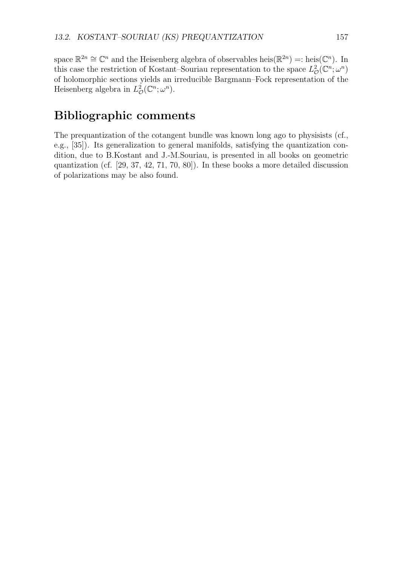space  $\mathbb{R}^{2n} \cong \mathbb{C}^n$  and the Heisenberg algebra of observables heis $(\mathbb{R}^{2n}) =$ : heis $(\mathbb{C}^n)$ . In this case the restriction of Kostant–Souriau representation to the space  $L^2_{\mathcal{O}}(\mathbb{C}^n;\omega^n)$ of holomorphic sections yields an irreducible Bargmann–Fock representation of the Heisenberg algebra in  $L^2_{\mathcal{O}}(\mathbb{C}^n;\omega^n)$ .

## **Bibliographic comments**

The prequantization of the cotangent bundle was known long ago to physisists (cf., e.g., [35]). Its generalization to general manifolds, satisfying the quantization condition, due to B.Kostant and J.-M.Souriau, is presented in all books on geometric quantization (cf. [29, 37, 42, 71, 70, 80]). In these books a more detailed discussion of polarizations may be also found.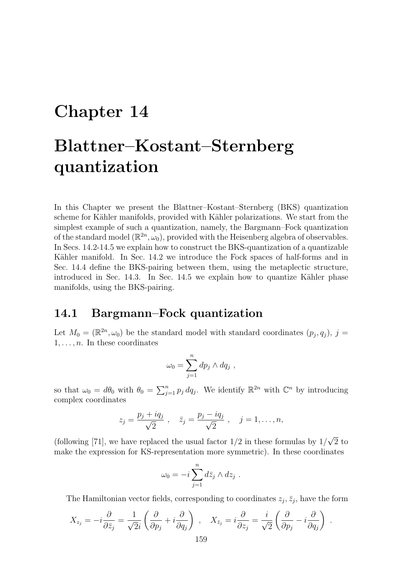## **Chapter 14**

# **Blattner–Kostant–Sternberg quantization**

In this Chapter we present the Blattner–Kostant–Sternberg (BKS) quantization scheme for Kähler manifolds, provided with Kähler polarizations. We start from the simplest example of such a quantization, namely, the Bargmann–Fock quantization of the standard model  $(\mathbb{R}^{2n}, \omega_0)$ , provided with the Heisenberg algebra of observables. In Secs. 14.2-14.5 we explain how to construct the BKS-quantization of a quantizable Kähler manifold. In Sec. 14.2 we introduce the Fock spaces of half-forms and in Sec. 14.4 define the BKS-pairing between them, using the metaplectic structure, introduced in Sec.  $14.3$ . In Sec.  $14.5$  we explain how to quantize Kähler phase manifolds, using the BKS-pairing.

## **14.1 Bargmann–Fock quantization**

Let  $M_0 = (\mathbb{R}^{2n}, \omega_0)$  be the standard model with standard coordinates  $(p_i, q_i)$ ,  $j =$  $1, \ldots, n$ . In these coordinates

$$
\omega_0 = \sum_{j=1}^n dp_j \wedge dq_j ,
$$

so that  $\omega_0 = d\theta_0$  with  $\theta_0 = \sum_{j=1}^n p_j dq_j$ . We identify  $\mathbb{R}^{2n}$  with  $\mathbb{C}^n$  by introducing complex coordinates

$$
z_j = \frac{p_j + iq_j}{\sqrt{2}}
$$
,  $\bar{z}_j = \frac{p_j - iq_j}{\sqrt{2}}$ ,  $j = 1, ..., n$ ,

(following [71], we have replaced the usual factor  $1/2$  in these formulas by  $1/\sqrt{2}$  to make the expression for KS-representation more symmetric). In these coordinates

$$
\omega_0 = -i \sum_{j=1}^n d\overline{z}_j \wedge dz_j .
$$

The Hamiltonian vector fields, corresponding to coordinates  $z_j$ ,  $\bar{z}_j$ , have the form

$$
X_{z_j} = -i\frac{\partial}{\partial \bar{z}_j} = \frac{1}{\sqrt{2}i} \left( \frac{\partial}{\partial p_j} + i \frac{\partial}{\partial q_j} \right) , \quad X_{\bar{z}_j} = i\frac{\partial}{\partial z_j} = \frac{i}{\sqrt{2}} \left( \frac{\partial}{\partial p_j} - i \frac{\partial}{\partial q_j} \right) .
$$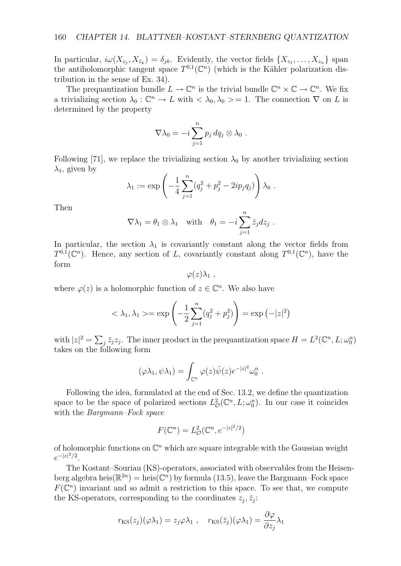In particular,  $i\omega(X_{z_i}, X_{\bar{z}_k}) = \delta_{jk}$ . Evidently, the vector fields  $\{X_{z_1}, \ldots, X_{z_n}\}$  span the antiholomorphic tangent space  $T^{0,1}(\mathbb{C}^n)$  (which is the Kähler polarization distribution in the sense of Ex. 34).

The prequantization bundle  $L \to \mathbb{C}^n$  is the trivial bundle  $\mathbb{C}^n \times \mathbb{C} \to \mathbb{C}^n$ . We fix a trivializing section  $\lambda_0 : \mathbb{C}^n \to L$  with  $\langle \lambda_0, \lambda_0 \rangle = 1$ . The connection  $\nabla$  on *L* is determined by the property

$$
\nabla \lambda_0 = -i \sum_{j=1}^n p_j dq_j \otimes \lambda_0 .
$$

Following [71], we replace the trivializing section  $\lambda_0$  by another trivializing section  $\lambda_1$ , given by

$$
\lambda_1 := \exp \left(-\frac{1}{4} \sum_{j=1}^n (q_j^2 + p_j^2 - 2ip_j q_j) \right) \lambda_0.
$$

Then

$$
\nabla \lambda_1 = \theta_1 \otimes \lambda_1 \quad \text{with} \quad \theta_1 = -i \sum_{j=1}^n \bar{z}_j dz_j \ .
$$

In particular, the section  $\lambda_1$  is covariantly constant along the vector fields from  $T^{0,1}(\mathbb{C}^n)$ . Hence, any section of *L*, covariantly constant along  $T^{0,1}(\mathbb{C}^n)$ , have the form

 $\varphi(z)\lambda_1$ ,

where  $\varphi(z)$  is a holomorphic function of  $z \in \mathbb{C}^n$ . We also have

$$
<\lambda_1, \lambda_1> = \exp\left(-\frac{1}{2}\sum_{j=1}^n (q_j^2 + p_j^2)\right) = \exp(-|z|^2)
$$

with  $|z|^2 = \sum_j \bar{z}_j z_j$ . The inner product in the prequantization space  $H = L^2(\mathbb{C}^n, L; \omega_0^n)$ takes on the following form

$$
(\varphi \lambda_1, \psi \lambda_1) = \int_{\mathbb{C}^n} \varphi(z) \overline{\psi}(z) e^{-|z|^2} \omega_0^n.
$$

Following the idea, formulated at the end of Sec. 13.2, we define the quantization space to be the space of polarized sections  $L^2_{\mathcal{O}}(\mathbb{C}^n, L; \omega_0^n)$ . In our case it coincides with the *Bargmann–Fock space*

$$
F(\mathbb{C}^n) = L^2_{\mathcal{O}}(\mathbb{C}^n, e^{-|z|^2/2})
$$

of holomorphic functions on C*<sup>n</sup>* which are square integrable with the Gaussian weight *e−|z<sup>|</sup>* <sup>2</sup>*/*<sup>2</sup>.

The Kostant–Souriau (KS)-operators, associated with observables from the Heisenberg algebra heis $(\mathbb{R}^{2n}) =$  heis $(\mathbb{C}^n)$  by formula (13.5), leave the Bargmann–Fock space  $F(\mathbb{C}^n)$  invariant and so admit a restriction to this space. To see that, we compute the KS-operators, corresponding to the coordinates  $z_j$ ,  $\bar{z}_j$ :

$$
r_{\text{KS}}(z_j)(\varphi \lambda_1) = z_j \varphi \lambda_1 , \quad r_{\text{KS}}(\bar{z}_j)(\varphi \lambda_1) = \frac{\partial \varphi}{\partial z_j} \lambda_1
$$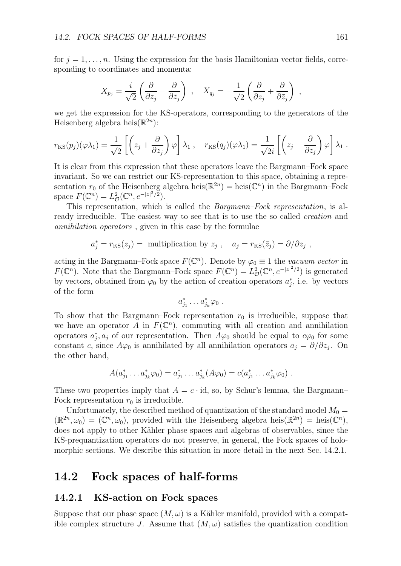for  $j = 1, \ldots, n$ . Using the expression for the basis Hamiltonian vector fields, corresponding to coordinates and momenta:

$$
X_{p_j} = \frac{i}{\sqrt{2}} \left( \frac{\partial}{\partial z_j} - \frac{\partial}{\partial \bar{z}_j} \right) , \quad X_{q_j} = -\frac{1}{\sqrt{2}} \left( \frac{\partial}{\partial z_j} + \frac{\partial}{\partial \bar{z}_j} \right) ,
$$

we get the expression for the KS-operators, corresponding to the generators of the Heisenberg algebra heis $(\mathbb{R}^{2n})$ :

$$
r_{\text{KS}}(p_j)(\varphi \lambda_1) = \frac{1}{\sqrt{2}} \left[ \left( z_j + \frac{\partial}{\partial z_j} \right) \varphi \right] \lambda_1 , \quad r_{\text{KS}}(q_j)(\varphi \lambda_1) = \frac{1}{\sqrt{2}i} \left[ \left( z_j - \frac{\partial}{\partial z_j} \right) \varphi \right] \lambda_1 .
$$

It is clear from this expression that these operators leave the Bargmann–Fock space invariant. So we can restrict our KS-representation to this space, obtaining a representation  $r_0$  of the Heisenberg algebra heis( $\mathbb{R}^{2n}$ ) = heis( $\mathbb{C}^n$ ) in the Bargmann–Fock space  $F(\mathbb{C}^n) = L^2_{\mathcal{O}}(\mathbb{C}^n, e^{-|z|^2/2}).$ 

This representation, which is called the *Bargmann–Fock representation*, is already irreducible. The easiest way to see that is to use the so called *creation* and *annihilation operators* , given in this case by the formulae

$$
a_j^* = r_{KS}(z_j)
$$
 = multiplication by  $z_j$ ,  $a_j = r_{KS}(\bar{z}_j) = \partial/\partial z_j$ ,

acting in the Bargmann–Fock space  $F(\mathbb{C}^n)$ . Denote by  $\varphi_0 \equiv 1$  the *vacuum vector* in *F*( $\mathbb{C}^n$ ). Note that the Bargmann–Fock space  $F(\mathbb{C}^n) = L^2_{\mathcal{O}}(\mathbb{C}^n, e^{-|z|^2/2})$  is generated by vectors, obtained from  $\varphi_0$  by the action of creation operators  $a_j^*$ , i.e. by vectors of the form

$$
a_{j_1}^*\ldots a_{j_k}^*\varphi_0\ .
$$

To show that the Bargmann–Fock representation  $r_0$  is irreducible, suppose that we have an operator *A* in  $F(\mathbb{C}^n)$ , commuting with all creation and annihilation operators  $a_j^*$ ,  $a_j$  of our representation. Then  $A\varphi_0$  should be equal to  $c\varphi_0$  for some constant *c*, since  $A\varphi_0$  is annihilated by all annihilation operators  $a_j = \partial/\partial z_j$ . On the other hand,

$$
A(a_{j_1}^*\ldots a_{j_k}^*\varphi_0)=a_{j_1}^*\ldots a_{j_k}^*(A\varphi_0)=c(a_{j_1}^*\ldots a_{j_k}^*\varphi_0).
$$

These two properties imply that  $A = c \cdot id$ , so, by Schur's lemma, the Bargmann– Fock representation  $r_0$  is irreducible.

Unfortunately, the described method of quantization of the standard model  $M_0 =$  $(\mathbb{R}^{2n}, \omega_0) = (\mathbb{C}^n, \omega_0)$ , provided with the Heisenberg algebra heis $(\mathbb{R}^{2n}) = \text{heis}(\mathbb{C}^n)$ , does not apply to other Kähler phase spaces and algebras of observables, since the KS-prequantization operators do not preserve, in general, the Fock spaces of holomorphic sections. We describe this situation in more detail in the next Sec. 14.2.1.

### **14.2 Fock spaces of half-forms**

### **14.2.1 KS-action on Fock spaces**

Suppose that our phase space  $(M, \omega)$  is a Kähler manifold, provided with a compatible complex structure *J*. Assume that  $(M, \omega)$  satisfies the quantization condition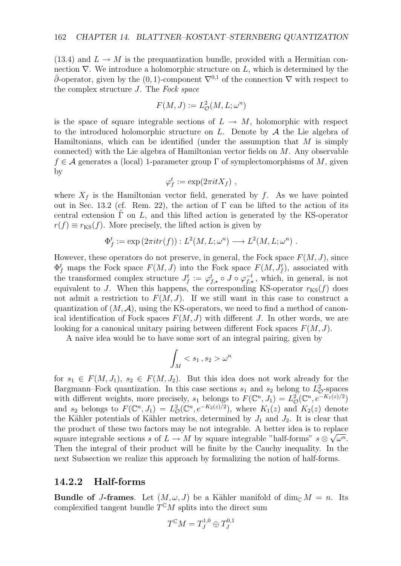(13.4) and  $L \rightarrow M$  is the prequantization bundle, provided with a Hermitian connection  $\nabla$ . We introduce a holomorphic structure on *L*, which is determined by the  $\bar{\partial}$ -operator, given by the (0, 1)-component  $\nabla^{0,1}$  of the connection  $\nabla$  with respect to the complex structure *J*. The *Fock space*

$$
F(M,J) := L^2_{\mathcal{O}}(M,L;\omega^n)
$$

is the space of square integrable sections of  $L \rightarrow M$ , holomorphic with respect to the introduced holomorphic structure on *L*. Denote by *A* the Lie algebra of Hamiltonians, which can be identified (under the assumption that *M* is simply connected) with the Lie algebra of Hamiltonian vector fields on *M*. Any observable *f* ∈ *A* generates a (local) 1-parameter group Γ of symplectomorphisms of *M*, given by

$$
\varphi_f^t := \exp(2\pi i t X_f) ,
$$

where  $X_f$  is the Hamiltonian vector field, generated by  $f$ . As we have pointed out in Sec. 13.2 (cf. Rem. 22), the action of  $\Gamma$  can be lifted to the action of its central extension  $\Gamma$  on L, and this lifted action is generated by the KS-operator  $r(f) \equiv r_{\text{KS}}(f)$ . More precisely, the lifted action is given by

$$
\Phi_f^t := \exp(2\pi i tr(f)) : L^2(M, L; \omega^n) \longrightarrow L^2(M, L; \omega^n) .
$$

However, these operators do not preserve, in general, the Fock space *F*(*M, J*), since  $\Phi_f^t$  maps the Fock space  $F(M, J)$  into the Fock space  $F(M, J_f^t)$ , associated with the transformed complex structure  $J_f^t := \varphi_{f,\star}^t \circ J \circ \varphi_{f,\star}^{-t}$ , which, in general, is not equivalent to *J*. When this happens, the corresponding KS-operator  $r_{\text{KS}}(f)$  does not admit a restriction to  $F(M, J)$ . If we still want in this case to construct a quantization of  $(M, \mathcal{A})$ , using the KS-operators, we need to find a method of canonical identification of Fock spaces  $F(M, J)$  with different *J*. In other words, we are looking for a canonical unitary pairing between different Fock spaces *F*(*M, J*).

A naive idea would be to have some sort of an integral pairing, given by

$$
\int_M \omega^n
$$

for  $s_1 \in F(M, J_1), s_2 \in F(M, J_2)$ . But this idea does not work already for the Bargmann–Fock quantization. In this case sections  $s_1$  and  $s_2$  belong to  $L^2_{\mathcal{O}}$ -spaces with different weights, more precisely,  $s_1$  belongs to  $F(\mathbb{C}^n, J_1) = L^2_{\mathcal{O}}(\mathbb{C}^n, e^{-K_1(z)/2})$ and  $s_2$  belongs to  $F(\mathbb{C}^n, J_1) = L^2_{\mathcal{O}}(\mathbb{C}^n, e^{-K_2(z)/2})$ , where  $K_1(z)$  and  $K_2(z)$  denote the Kähler potentials of Kähler metrics, determined by  $J_1$  and  $J_2$ . It is clear that the product of these two factors may be not integrable. A better idea is to replace square integrable sections *s* of  $L \rightarrow M$  by square integrable "half-forms"  $s \otimes \sqrt{\omega^n}$ . Then the integral of their product will be finite by the Cauchy inequality. In the next Subsection we realize this approach by formalizing the notion of half-forms.

#### **14.2.2 Half-forms**

**Bundle of** *J***-frames**. Let  $(M, \omega, J)$  be a Kähler manifold of dim<sub>C</sub>  $M = n$ . Its complexified tangent bundle  $T^{C}M$  splits into the direct sum

$$
T^{\mathbb{C}}M=T^{1,0}_J\oplus T^{0,1}_J
$$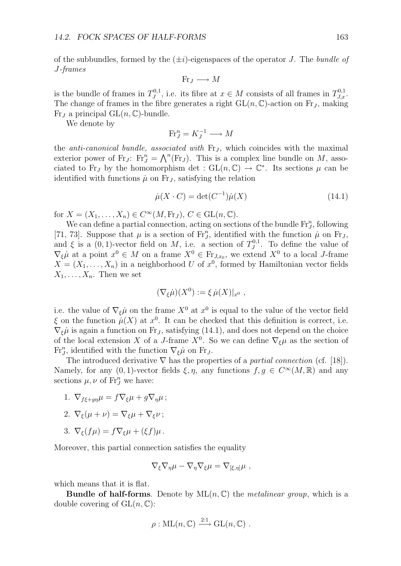of the subbundles, formed by the (*±i*)-eigenspaces of the operator *J*. The *bundle of J-frames*

$$
Fr_J \longrightarrow M
$$

is the bundle of frames in  $T_J^{0,1}$ , i.e. its fibre at  $x \in M$  consists of all frames in  $T_{J,x}^{0,1}$ . The change of frames in the fibre generates a right  $GL(n, \mathbb{C})$ -action on Fr<sub>J</sub>, making Fr<sub>*I*</sub> a principal  $GL(n, \mathbb{C})$ -bundle.

We denote by

$$
\text{Fr}_J^n = K_J^{-1} \longrightarrow M
$$

the *anti-canonical bundle, associated with* Fr*<sup>J</sup>* , which coincides with the maximal exterior power of Fr<sub>*J*</sub>: Fr<sub>*I*</sub><sup>n</sup> =  $\bigwedge^n$ (Fr<sub>*J*</sub>). This is a complex line bundle on *M*, associated to Fr<sub>*J*</sub> by the homomorphism det :  $GL(n,\mathbb{C}) \to \mathbb{C}^*$ . Its sections  $\mu$  can be identified with functions  $\mu$  on Fr<sub>J</sub>, satisfying the relation

$$
\dot{\mu}(X \cdot C) = \det(C^{-1})\dot{\mu}(X) \tag{14.1}
$$

for  $X = (X_1, \ldots, X_n) \in C^\infty(M, Fr_J), C \in GL(n, \mathbb{C}).$ 

We can define a partial connection, acting on sections of the bundle  $\mathrm{Fr}^n_J$ , following [71, 73]. Suppose that  $\mu$  is a section of Fr<sub>*J*</sub>, identified with the function  $\mu$  on Fr<sub>*J*</sub>, and  $\xi$  is a (0, 1)-vector field on *M*, i.e. a section of  $T_J^{0,1}$ . To define the value of  $\nabla_{\xi}\mu$  at a point  $x^0 \in M$  on a frame  $X^0 \in \mathrm{Fr}_{J,x_0}$ , we extend  $X^0$  to a local *J*-frame  $X = (X_1, \ldots, X_n)$  in a neighborhood *U* of  $x^0$ , formed by Hamiltonian vector fields  $X_1, \ldots, X_n$ . Then we set

$$
(\nabla_{\xi}\dot{\mu})(X^0) := \xi \,\dot{\mu}(X)|_{x^0} ,
$$

i.e. the value of  $\nabla_{\xi}\mu$  on the frame  $X^0$  at  $x^0$  is equal to the value of the vector field  $\xi$  on the function  $\mu(X)$  at  $x^0$ . It can be checked that this definition is correct, i.e.  $\nabla_{\xi}\mu$  is again a function on Fr<sub>J</sub>, satisfying (14.1), and does not depend on the choice of the local extension *X* of a *J*-frame  $X^0$ . So we can define  $\nabla_{\xi}\mu$  as the section of  $\operatorname{Fr}^n_J$ , identified with the function  $\nabla_{\xi}\mu$  on  $\operatorname{Fr}_J$ .

The introduced derivative *∇* has the properties of a *partial connection* (cf. [18]). Namely, for any  $(0, 1)$ -vector fields  $\xi, \eta$ , any functions  $f, g \in C^{\infty}(M, \mathbb{R})$  and any sections  $\mu, \nu$  of  $\mathrm{Fr}^n_J$  we have:

- 1.  $\nabla_{f\xi+qn}\mu = f\nabla_{\xi}\mu + g\nabla_{n}\mu$ ;
- 2.  $\nabla_{\xi}(\mu + \nu) = \nabla_{\xi}\mu + \nabla_{\xi}\nu$ ;
- 3.  $\nabla_{\xi}(f\mu) = f \nabla_{\xi} \mu + (\xi f) \mu$ .

Moreover, this partial connection satisfies the equality

$$
\nabla_{\xi} \nabla_{\eta} \mu - \nabla_{\eta} \nabla_{\xi} \mu = \nabla_{[\xi, \eta]} \mu ,
$$

which means that it is flat.

**Bundle of half-forms**. Denote by  $ML(n, \mathbb{C})$  the *metalinear group*, which is a double covering of  $GL(n, \mathbb{C})$ :

$$
\rho: \mathrm{ML}(n, \mathbb{C}) \xrightarrow{2:1} \mathrm{GL}(n, \mathbb{C}) .
$$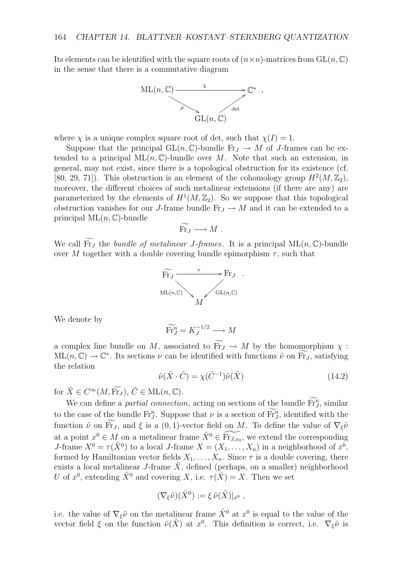Its elements can be identified with the square roots of  $(n \times n)$ -matrices from  $GL(n, \mathbb{C})$ in the sense that there is a commutative diagram



where  $\chi$  is a unique complex square root of det, such that  $\chi(I) = 1$ .

Suppose that the principal  $GL(n, \mathbb{C})$ -bundle  $\mathrm{Fr}_J \to M$  of *J*-frames can be extended to a principal  $ML(n, \mathbb{C})$ -bundle over M. Note that such an extension, in general, may not exist, since there is a topological obstruction for its existence (cf. [80, 29, 71]). This obstruction is an element of the cohomology group  $H^2(M, \mathbb{Z}_2)$ , moreover, the different choices of such metalinear extensions (if there are any) are parameterized by the elements of  $H^1(M, \mathbb{Z}_2)$ . So we suppose that this topological obstruction vanishes for our *J*-frame bundle  $\text{Fr}_J \rightarrow M$  and it can be extended to a principal ML(*n,* C)-bundle

$$
\widetilde{\mathrm{Fr}}_J \longrightarrow M \; .
$$

We call Fr<sub>*J*</sub> the *bundle of metalinear J-frames*. It is a principal  $ML(n, \mathbb{C})$ -bundle<br>cycle M together with a double covering bundle originalism  $\tau$  such that over *M* together with a double covering bundle epimorphism  $\tau$ , such that



We denote by

$$
\widetilde{\mathrm{Fr}}_J^n = K_J^{-1/2} \longrightarrow M
$$

a complex line bundle on *M*, associated to  $\widetilde{Fr}_J \to M$  by the homomorphism  $\chi$ :  $ML(n, \mathbb{C}) \rightarrow \mathbb{C}^*$ . Its sections  $\nu$  can be identified with functions  $\tilde{\nu}$  on Fr<sub>*J*</sub>, satisfying the relation

$$
\tilde{\nu}(\tilde{X} \cdot \tilde{C}) = \chi(\tilde{C}^{-1})\tilde{\nu}(\tilde{X})
$$
\n(14.2)

for  $\tilde{X} \in C^{\infty}(M, \widetilde{Fr}_I), \tilde{C} \in ML(n, \mathbb{C}).$ 

We can define a *partial connection*, acting on sections of the bundle  $\overrightarrow{Fr}$ , similar to the case of the bundle  $\text{Fr}^n_J$ . Suppose that  $\nu$  is a section of  $\text{Fr}^n_J$ , identified with the function  $\tilde{\nu}$  on  $\widetilde{\mathrm{Fr}}_J$ , and  $\xi$  is a (0, 1)-vector field on *M*. To define the value of  $\nabla_{\xi} \tilde{\nu}$ at a point  $x^0 \in M$  on a metalinear frame  $\tilde{X}^0 \in \widetilde{\mathrm{Fr}_{J,x_0}}$ , we extend the corresponding *J*-frame  $X^0 = \tau(\tilde{X}^0)$  to a local *J*-frame  $X = (X_1, \ldots, X_n)$  in a neighborhood of  $x^0$ , formed by Hamiltonian vector fields  $X_1, \ldots, X_n$ . Since  $\tau$  is a double covering, there exists a local metalinear *J*-frame *X*, defined (perhaps, on a smaller) neighborhood *U* of  $x^0$ , extending  $\tilde{X}^0$  and covering *X*, i.e.  $\tau(\tilde{X}) = X$ . Then we set

$$
(\nabla_{\xi}\tilde{\nu})(\tilde{X}^0) := \xi \tilde{\nu}(\tilde{X})|_{x^0} ,
$$

i.e. the value of  $\nabla_{\xi} \tilde{\nu}$  on the metalinear frame  $\tilde{X}^0$  at  $x^0$  is equal to the value of the vector field  $\xi$  on the function  $\tilde{\nu}(\tilde{X})$  at  $x^0$ . This definition is correct, i.e.  $\nabla_{\xi}\tilde{\nu}$  is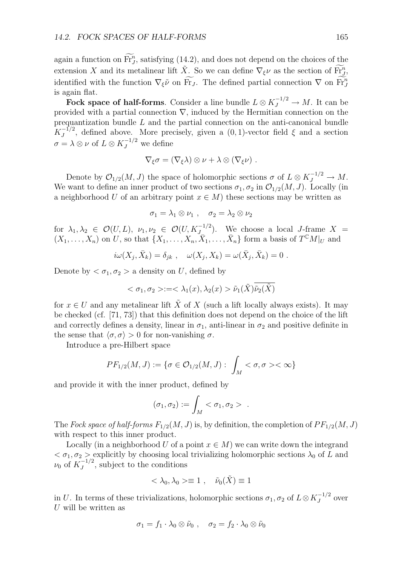again a function on  $\overline{\text{Fr}}_J^n$ , satisfying (14.2), and does not depend on the choices of the extension *X* and its metalinear lift  $\tilde{X}$ . So we can define  $\nabla_{\xi} \nu$  as the section of  $\widetilde{F}_{J}^{n}$ , identified with the function  $\nabla_{\xi} \tilde{\nu}$  on Fr<sub>*J*</sub>. The defined partial connection  $\nabla$  on  $\overline{\text{Fr}}_{J}^{n}$ is again flat.

**Fock space of half-forms**. Consider a line bundle  $L \otimes K_J^{-1/2} \to M$ . It can be provided with a partial connection *∇*, induced by the Hermitian connection on the prequantization bundle *L* and the partial connection on the anti-canonical bundle  $K_J^{-1/2}$ , defined above. More precisely, given a  $(0,1)$ -vector field  $\xi$  and a section  $\sigma = \lambda \otimes \nu$  of  $L \otimes K_J^{-1/2}$  we define

$$
\nabla_{\xi} \sigma = (\nabla_{\xi} \lambda) \otimes \nu + \lambda \otimes (\nabla_{\xi} \nu) .
$$

Denote by  $\mathcal{O}_{1/2}(M, J)$  the space of holomorphic sections  $\sigma$  of  $L \otimes K_J^{-1/2} \to M$ . We want to define an inner product of two sections  $\sigma_1, \sigma_2$  in  $\mathcal{O}_{1/2}(M, J)$ . Locally (in a neighborhood *U* of an arbitrary point  $x \in M$ ) these sections may be written as

$$
\sigma_1 = \lambda_1 \otimes \nu_1 \;, \quad \sigma_2 = \lambda_2 \otimes \nu_2
$$

for  $\lambda_1, \lambda_2 \in \mathcal{O}(U, L)$ ,  $\nu_1, \nu_2 \in \mathcal{O}(U, K_{J}^{-1/2})$ . We choose a local *J*-frame  $X =$  $(X_1, \ldots, X_n)$  on U, so that  $\{X_1, \ldots, X_n, \overline{X}_1, \ldots, \overline{X}_n\}$  form a basis of  $T^{\mathbb{C}}M|_U$  and

$$
i\omega(X_j, \bar{X}_k) = \delta_{jk} , \quad \omega(X_j, X_k) = \omega(\bar{X}_j, \bar{X}_k) = 0 .
$$

Denote by  $\langle \sigma_1, \sigma_2 \rangle$  a density on *U*, defined by

$$
\langle \sigma_1, \sigma_2 \rangle := \langle \lambda_1(x), \lambda_2(x) \rangle \tilde{\nu}_1(\tilde{X}) \tilde{\nu}_2(\tilde{X})
$$

for  $x \in U$  and any metalinear lift  $\tilde{X}$  of X (such a lift locally always exists). It may be checked (cf. [71, 73]) that this definition does not depend on the choice of the lift and correctly defines a density, linear in  $\sigma_1$ , anti-linear in  $\sigma_2$  and positive definite in the sense that  $\langle \sigma, \sigma \rangle > 0$  for non-vanishing  $\sigma$ .

Introduce a pre-Hilbert space

$$
PF_{1/2}(M, J) := \{ \sigma \in \mathcal{O}_{1/2}(M, J) : \int_M < \sigma, \sigma >< \infty \}
$$

and provide it with the inner product, defined by

$$
(\sigma_1, \sigma_2) := \int_M < \sigma_1, \sigma_2 > \; .
$$

The *Fock space of half-forms*  $F_{1/2}(M, J)$  is, by definition, the completion of  $PF_{1/2}(M, J)$ with respect to this inner product.

Locally (in a neighborhood *U* of a point  $x \in M$ ) we can write down the integrand  $<\sigma_1, \sigma_2>$  explicitly by choosing local trivializing holomorphic sections  $\lambda_0$  of *L* and  $\nu_0$  of  $K_J^{-1/2}$ , subject to the conditions

$$
\langle \lambda_0, \lambda_0 \rangle \equiv 1 \ , \quad \tilde{\nu}_0(\tilde{X}) \equiv 1
$$

in *U*. In terms of these trivializations, holomorphic sections  $\sigma_1$ ,  $\sigma_2$  of  $L \otimes K_J^{-1/2}$  over *U* will be written as

$$
\sigma_1 = f_1 \cdot \lambda_0 \otimes \tilde{\nu}_0 , \quad \sigma_2 = f_2 \cdot \lambda_0 \otimes \tilde{\nu}_0
$$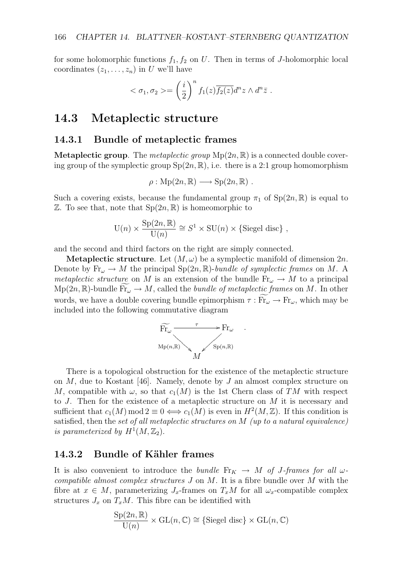for some holomorphic functions  $f_1, f_2$  on  $U$ . Then in terms of *J*-holomorphic local coordinates  $(z_1, \ldots, z_n)$  in *U* we'll have

$$
<\sigma_1, \sigma_2> = \left(\frac{i}{2}\right)^n f_1(z) \overline{f_2(z)} d^n z \wedge d^n \overline{z} .
$$

### **14.3 Metaplectic structure**

#### **14.3.1 Bundle of metaplectic frames**

**Metaplectic group**. The *metaplectic group*  $Mp(2n, \mathbb{R})$  is a connected double covering group of the symplectic group  $Sp(2n,\mathbb{R})$ , i.e. there is a 2:1 group homomorphism

$$
\rho: \mathrm{Mp}(2n,\mathbb{R}) \longrightarrow \mathrm{Sp}(2n,\mathbb{R}) .
$$

Such a covering exists, because the fundamental group  $\pi_1$  of  $Sp(2n,\mathbb{R})$  is equal to  $\mathbb{Z}$ . To see that, note that  $Sp(2n,\mathbb{R})$  is homeomorphic to

$$
U(n) \times \frac{Sp(2n, \mathbb{R})}{U(n)} \cong S^1 \times SU(n) \times \{Siegel disc\},
$$

and the second and third factors on the right are simply connected.

**Metaplectic structure**. Let  $(M, \omega)$  be a symplectic manifold of dimension  $2n$ . Denote by  $\text{Fr}_{\omega} \to M$  the principal  $\text{Sp}(2n,\mathbb{R})$ -*bundle of symplectic frames* on M. A *metaplectic structure* on *M* is an extension of the bundle  $Fr_{\omega} \rightarrow M$  to a principal  $Mp(2n,\mathbb{R})$ -bundle  $Fr_{\omega} \to M$ , called the *bundle of metaplectic frames* on M. In other words, we have a double covering bundle epimorphism  $\tau : Fr_\omega \to Fr_\omega$ , which may be included into the following commutative diagram



*.*

There is a topological obstruction for the existence of the metaplectic structure on *M*, due to Kostant [46]. Namely, denote by *J* an almost complex structure on *M*, compatible with  $\omega$ , so that  $c_1(M)$  is the 1st Chern class of *TM* with respect to *J*. Then for the existence of a metaplectic structure on *M* it is necessary and sufficient that  $c_1(M) \mod 2 \equiv 0 \iff c_1(M)$  is even in  $H^2(M, \mathbb{Z})$ . If this condition is satisfied, then the *set of all metaplectic structures on M (up to a natural equivalence) is parameterized by*  $H^1(M, \mathbb{Z}_2)$ .

### **14.3.2 Bundle of Kähler frames**

It is also convenient to introduce the *bundle*  $\text{Fr}_K \rightarrow M$  *of J-frames for all*  $\omega$ *compatible almost complex structures J* on *M*. It is a fibre bundle over *M* with the fibre at  $x \in M$ , parameterizing  $J_x$ -frames on  $T_xM$  for all  $\omega_x$ -compatible complex structures  $J_x$  on  $T_xM$ . This fibre can be identified with

$$
\frac{\mathrm{Sp}(2n,\mathbb{R})}{\mathrm{U}(n)} \times \mathrm{GL}(n,\mathbb{C}) \cong \{\text{Siegel disc}\} \times \mathrm{GL}(n,\mathbb{C})
$$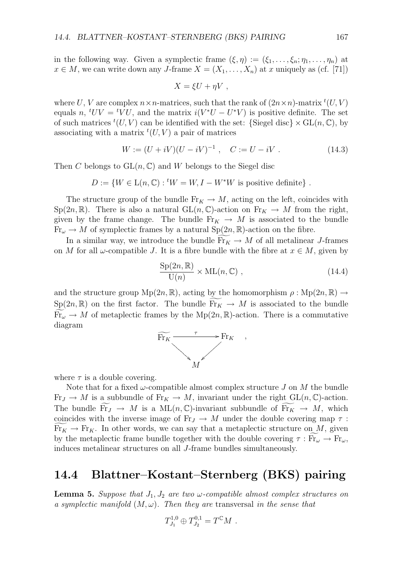in the following way. Given a symplectic frame  $(\xi, \eta) := (\xi_1, \dots, \xi_n; \eta_1, \dots, \eta_n)$  at *x* ∈ *M*, we can write down any *J*-frame  $X = (X_1, \ldots, X_n)$  at *x* uniquely as (cf. [71])

$$
X = \xi U + \eta V ,
$$

where *U*, *V* are complex  $n \times n$ -matrices, such that the rank of  $(2n \times n)$ -matrix  ${}^t(U, V)$ equals *n*,  ${}^tUV = {}^tVU$ , and the matrix  $i(V^*U - U^*V)$  is positive definite. The set of such matrices  ${}^t(U, V)$  can be identified with the set:  $\{\text{Siegel disc}\}\times \text{GL}(n, \mathbb{C}),$  by associating with a matrix  ${}^t(U, V)$  a pair of matrices

$$
W := (U + iV)(U - iV)^{-1}, \quad C := U - iV.
$$
 (14.3)

Then *C* belongs to  $GL(n, \mathbb{C})$  and *W* belongs to the Siegel disc

$$
D := \{ W \in L(n, \mathbb{C}) : {}^{t}W = W, I - W^*W \text{ is positive definite} \} .
$$

The structure group of the bundle  $Fr_K \to M$ , acting on the left, coincides with  $Sp(2n,\mathbb{R})$ . There is also a natural  $GL(n,\mathbb{C})$ -action on  $Fr_K \to M$  from the right, given by the frame change. The bundle  $\text{Fr}_K \rightarrow M$  is associated to the bundle  $Fr_{\omega} \to M$  of symplectic frames by a natural  $Sp(2n,\mathbb{R})$ -action on the fibre.

In a similar way, we introduce the bundle  $\mathrm{Fr}_K \to M$  of all metalinear *J*-frames on *M* for all  $\omega$ -compatible *J*. It is a fibre bundle with the fibre at  $x \in M$ , given by

$$
\frac{\text{Sp}(2n,\mathbb{R})}{\text{U}(n)} \times \text{ML}(n,\mathbb{C}) ,\qquad (14.4)
$$

*,*

and the structure group  $Mp(2n, \mathbb{R})$ , acting by the homomorphism  $\rho : Mp(2n, \mathbb{R}) \rightarrow$  $Sp(2n,\mathbb{R})$  on the first factor. The bundle  $\mathrm{Fr}_K \to M$  is associated to the bundle  $\widetilde{Fr}_{\omega} \to M$  of metaplectic frames by the  $Mp(2n,\mathbb{R})$ -action. There is a commutative diagram



where  $\tau$  is a double covering.

Note that for a fixed  $\omega$ -compatible almost complex structure *J* on *M* the bundle  $Fr_J \to M$  is a subbundle of  $Fr_K \to M$ , invariant under the right  $GL(n, \mathbb{C})$ -action. The bundle  $\overline{\text{Fr}}_J \rightarrow M$  is a  $\text{ML}(n, \mathbb{C})$ -invariant subbundle of  $\overline{\text{Fr}}_K \rightarrow M$ , which coincides with the inverse image of  $\text{Fr}_J \rightarrow M$  under the double covering map  $\tau$ :  $Fr_K \to Fr_K$ . In other words, we can say that a metaplectic structure on *M*, given by the metaplectic frame bundle together with the double covering  $\tau : Fr_\omega \to Fr_\omega$ , induces metalinear structures on all *J*-frame bundles simultaneously.

## **14.4 Blattner–Kostant–Sternberg (BKS) pairing**

**Lemma 5.** *Suppose that*  $J_1, J_2$  *are two*  $\omega$ -compatible almost complex structures on *a symplectic manifold*  $(M, \omega)$ *. Then they are transversal in the sense that* 

$$
T_{J_1}^{1,0} \oplus T_{J_2}^{0,1} = T^{\mathbb{C}}M.
$$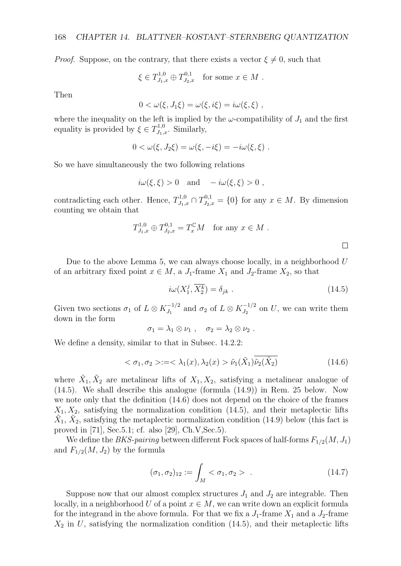*Proof.* Suppose, on the contrary, that there exists a vector  $\xi \neq 0$ , such that

$$
\xi \in T^{1,0}_{J_1,x} \oplus T^{0,1}_{J_2,x}
$$
 for some  $x \in M$ .

Then

$$
0 < \omega(\xi, J_1\xi) = \omega(\xi, i\xi) = i\omega(\xi, \xi) ,
$$

where the inequality on the left is implied by the  $\omega$ -compatibility of  $J_1$  and the first equality is provided by  $\xi \in T^{1,0}_{J_1,x}$ . Similarly,

$$
0 < \omega(\xi, J_2\xi) = \omega(\xi, -i\xi) = -i\omega(\xi, \xi) .
$$

So we have simultaneously the two following relations

$$
i\omega(\xi,\xi) > 0
$$
 and  $-i\omega(\xi,\xi) > 0$ ,

contradicting each other. Hence,  $T_{J_1,x}^{1,0} \cap T_{J_2,x}^{0,1} = \{0\}$  for any  $x \in M$ . By dimension counting we obtain that

$$
T_{J_1,x}^{1,0} \oplus T_{J_2,x}^{0,1} = T_x^{\mathbb{C}} M \text{ for any } x \in M.
$$

Due to the above Lemma 5, we can always choose locally, in a neighborhood *U* of an arbitrary fixed point  $x \in M$ , a *J*<sub>1</sub>-frame  $X_1$  and *J*<sub>2</sub>-frame  $X_2$ , so that

$$
i\omega(X_1^j, \overline{X_2^k}) = \delta_{jk} . \tag{14.5}
$$

Given two sections  $\sigma_1$  of  $L \otimes K_{J_1}^{-1/2}$  and  $\sigma_2$  of  $L \otimes K_{J_2}^{-1/2}$  on *U*, we can write them down in the form

$$
\sigma_1 = \lambda_1 \otimes \nu_1 \; , \quad \sigma_2 = \lambda_2 \otimes \nu_2 \; .
$$

We define a density, similar to that in Subsec. 14.2.2:

$$
\langle \sigma_1, \sigma_2 \rangle := \langle \lambda_1(x), \lambda_2(x) \rangle \tilde{\nu}_1(\tilde{X}_1) \tilde{\nu}_2(\tilde{X}_2) \tag{14.6}
$$

where  $\tilde{X}_1, \tilde{X}_2$  are metalinear lifts of  $X_1, X_2$ , satisfying a metalinear analogue of (14.5). We shall describe this analogue (formula (14.9)) in Rem. 25 below. Now we note only that the definition (14.6) does not depend on the choice of the frames  $X_1, X_2$ , satisfying the normalization condition  $(14.5)$ , and their metaplectic lifts  $X_1, X_2$ , satisfying the metaplectic normalization condition (14.9) below (this fact is proved in [71], Sec.5.1; cf. also [29], Ch.V,Sec.5).

We define the *BKS-pairing* between different Fock spaces of half-forms *F*1*/*2(*M, J*1) and  $F_{1/2}(M, J_2)$  by the formula

$$
(\sigma_1, \sigma_2)_{12} := \int_M < \sigma_1, \sigma_2 > . \tag{14.7}
$$

Suppose now that our almost complex structures  $J_1$  and  $J_2$  are integrable. Then locally, in a neighborhood *U* of a point  $x \in M$ , we can write down an explicit formula for the integrand in the above formula. For that we fix a  $J_1$ -frame  $X_1$  and a  $J_2$ -frame  $X_2$  in *U*, satisfying the normalization condition  $(14.5)$ , and their metaplectic lifts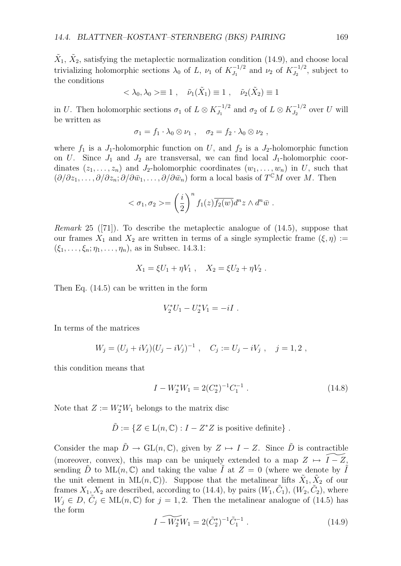$\tilde{X}_1, \tilde{X}_2$ , satisfying the metaplectic normalization condition (14.9), and choose local trivializing holomorphic sections  $\lambda_0$  of *L*,  $\nu_1$  of  $K_{J_1}^{-1/2}$  and  $\nu_2$  of  $K_{J_2}^{-1/2}$ , subject to the conditions

$$
\langle \lambda_0, \lambda_0 \rangle \equiv 1 \;, \quad \tilde{\nu}_1(\tilde{X}_1) \equiv 1 \;, \quad \tilde{\nu}_2(\tilde{X}_2) \equiv 1
$$

in *U*. Then holomorphic sections  $\sigma_1$  of  $L \otimes K_{J_1}^{-1/2}$  and  $\sigma_2$  of  $L \otimes K_{J_2}^{-1/2}$  over *U* will be written as

$$
\sigma_1 = f_1 \cdot \lambda_0 \otimes \nu_1 \; , \quad \sigma_2 = f_2 \cdot \lambda_0 \otimes \nu_2 \; ,
$$

where  $f_1$  is a  $J_1$ -holomorphic function on  $U$ , and  $f_2$  is a  $J_2$ -holomorphic function on *U*. Since  $J_1$  and  $J_2$  are transversal, we can find local  $J_1$ -holomorphic coordinates  $(z_1, \ldots, z_n)$  and *J*<sub>2</sub>-holomorphic coordinates  $(w_1, \ldots, w_n)$  in *U*, such that  $(\partial/\partial z_1,\ldots,\partial/\partial z_n;\partial/\partial \bar{w}_1,\ldots,\partial/\partial \bar{w}_n)$  form a local basis of  $T^{\mathbb{C}}M$  over *M*. Then

$$
<\sigma_1, \sigma_2> = \left(\frac{i}{2}\right)^n f_1(z) \overline{f_2(w)} d^n z \wedge d^n \overline{w} .
$$

*Remark* 25 ([71])*.* To describe the metaplectic analogue of (14.5), suppose that our frames  $X_1$  and  $X_2$  are written in terms of a single symplectic frame  $(\xi, \eta) :=$ (*ξ*1*, . . . , ξn*; *η*1*, . . . , ηn*), as in Subsec. 14.3.1:

$$
X_1 = \xi U_1 + \eta V_1 , \quad X_2 = \xi U_2 + \eta V_2 .
$$

Then Eq. (14.5) can be written in the form

$$
V_2^*U_1 - U_2^*V_1 = -iI \ .
$$

In terms of the matrices

$$
W_j = (U_j + iV_j)(U_j - iV_j)^{-1} , \quad C_j := U_j - iV_j , \quad j = 1, 2 ,
$$

this condition means that

$$
I - W_2^* W_1 = 2(C_2^*)^{-1} C_1^{-1} . \tag{14.8}
$$

Note that  $Z := W_2^* W_1$  belongs to the matrix disc

$$
\tilde{D} := \{ Z \in L(n, \mathbb{C}) : I - Z^* Z \text{ is positive definite} \} .
$$

Consider the map  $\tilde{D} \to GL(n,\mathbb{C})$ , given by  $Z \mapsto I - Z$ . Since  $\tilde{D}$  is contractible (moreover, convex), this map can be uniquely extended to a map  $Z \mapsto I - Z$ , sending  $\ddot{D}$  to  $\text{ML}(n, \mathbb{C})$  and taking the value  $\ddot{I}$  at  $Z = 0$  (where we denote by  $\ddot{I}$ the unit element in  $ML(n, \mathbb{C})$ . Suppose that the metalinear lifts  $\hat{X}_1, \hat{X}_2$  of our frames  $X_1, X_2$  are described, according to (14.4), by pairs  $(W_1, \tilde{C}_1)$ ,  $(W_2, \tilde{C}_2)$ , where  $W_j \in D$ ,  $C_j \in ML(n, \mathbb{C})$  for  $j = 1, 2$ . Then the metalinear analogue of (14.5) has the form

$$
I - \widetilde{W_2^*} W_1 = 2(\tilde{C}_2^*)^{-1} \tilde{C}_1^{-1} . \tag{14.9}
$$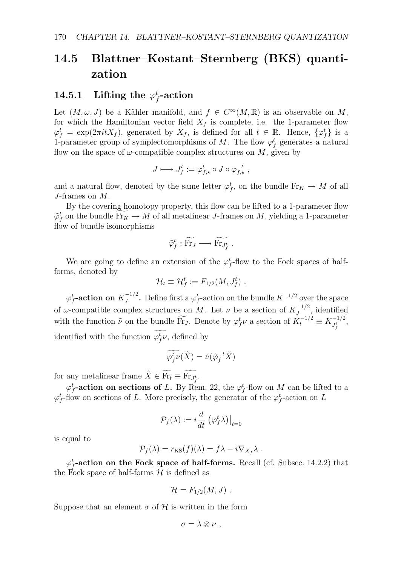## **14.5 Blattner–Kostant–Sternberg (BKS) quantization**

## $14.5.1$  Lifting the  $\varphi_f^\textit{t}\text{-action}$

Let  $(M, \omega, J)$  be a Kähler manifold, and  $f \in C^{\infty}(M, \mathbb{R})$  is an observable on M, for which the Hamiltonian vector field  $X_f$  is complete, i.e. the 1-parameter flow  $\varphi_f^t = \exp(2\pi i t X_f)$ , generated by  $X_f$ , is defined for all  $t \in \mathbb{R}$ . Hence,  $\{\varphi_f^t\}$  is a 1-parameter group of symplectomorphisms of *M*. The flow  $\varphi_f^t$  generates a natural flow on the space of  $\omega$ -compatible complex structures on  $M$ , given by

$$
J\longmapsto J_f^t:=\varphi_{f,\star}^t\circ J\circ \varphi_{f,\star}^{-t}\ ,
$$

and a natural flow, denoted by the same letter  $\varphi_f^t$ , on the bundle  $\text{Fr}_K \to M$  of all *J*-frames on *M*.

By the covering homotopy property, this flow can be lifted to a 1-parameter flow  $\tilde{\varphi}^t_f$  on the bundle  $\text{Fr}_K \to M$  of all metalinear *J*-frames on *M*, yielding a 1-parameter  $f_{\text{out}}$  of bundle isomorphisms flow of bundle isomorphisms

$$
\tilde{\varphi}_f^t : \widetilde{\text{Fr}}_J \longrightarrow \widetilde{\text{Fr}}_{J_f^t} .
$$

We are going to define an extension of the  $\varphi_f^t$ -flow to the Fock spaces of halfforms, denoted by

$$
\mathcal{H}_t \equiv \mathcal{H}_f^t := F_{1/2}(M, J_f^t) \ .
$$

 $\varphi_f^t$ -action on  $K_J^{-1/2}$ . Define first a  $\varphi_f^t$ -action on the bundle  $K^{-1/2}$  over the space of *ω*-compatible complex structures on *M*. Let *v* be a section of  $K_J^{-1/2}$ , identified with the function  $\tilde{\nu}$  on the bundle  $\widetilde{\text{Fr}}_J$ . Denote by  $\varphi_f^t \nu$  a section of  $K_t^{-1/2} \equiv K_{J_f^t}^{-1/2}$ , identified with the function  $\varphi_f^t$ , defined by

$$
\widetilde{\varphi_f^t \nu}(\tilde{X}) = \tilde{\nu}(\tilde{\varphi}_f^{-t} \tilde{X})
$$

for any metalinear frame  $\tilde{X} \in \widetilde{\text{Fr}_t} \equiv \widetilde{\text{Fr}_{J_f^t}}$ .

 $\varphi_f^t$ -action on sections of *L*. By Rem. 22, the  $\varphi_f^t$ -flow on *M* can be lifted to a  $\varphi_f^t$ -flow on sections of *L*. More precisely, the generator of the  $\varphi_f^t$ -action on *L* 

$$
\mathcal{P}_f(\lambda) := i \frac{d}{dt} \left. \left( \varphi_f^t \lambda \right) \right|_{t=0}
$$

is equal to

$$
\mathcal{P}_f(\lambda) = r_{\text{KS}}(f)(\lambda) = f\lambda - i\nabla_{X_f}\lambda.
$$

 $\varphi_f^t$ -action on the Fock space of half-forms. Recall (cf. Subsec. 14.2.2) that the Fock space of half-forms  $H$  is defined as

$$
\mathcal{H}=F_{1/2}(M,J)\ .
$$

Suppose that an element  $\sigma$  of  $\mathcal H$  is written in the form

$$
\sigma = \lambda \otimes \nu ,
$$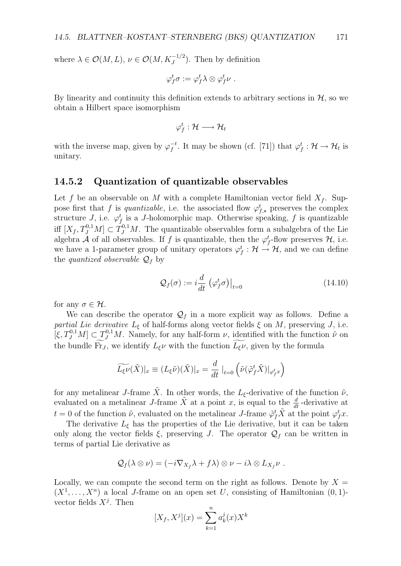where  $\lambda \in \mathcal{O}(M, L)$ ,  $\nu \in \mathcal{O}(M, K_J^{-1/2})$ . Then by definition

$$
\varphi_f^t \sigma := \varphi_f^t \lambda \otimes \varphi_f^t \nu \; .
$$

By linearity and continuity this definition extends to arbitrary sections in  $H$ , so we obtain a Hilbert space isomorphism

$$
\varphi_f^t: \mathcal{H} \longrightarrow \mathcal{H}_t
$$

with the inverse map, given by  $\varphi_f^{-t}$ . It may be shown (cf. [71]) that  $\varphi_f^t : \mathcal{H} \to \mathcal{H}_t$  is unitary.

### **14.5.2 Quantization of quantizable observables**

Let f be an observable on M with a complete Hamiltonian vector field  $X_f$ . Suppose first that *f* is *quantizable*, i.e. the associated flow  $\varphi_{f,\star}^t$  preserves the complex structure *J*, i.e.  $\varphi_f^t$  is a *J*-holomorphic map. Otherwise speaking, *f* is quantizable iff  $[X_f, T^{0,1}_J M] \subset T^{0,1}_J M$ . The quantizable observables form a subalgebra of the Lie algebra *A* of all observables. If *f* is quantizable, then the  $\varphi_f^t$ -flow preserves  $\mathcal{H}$ , i.e. we have a 1-parameter group of unitary operators  $\varphi_f^t : \mathcal{H} \to \mathcal{H}$ , and we can define the *quantized observable*  $Q_f$  by

$$
\mathcal{Q}_f(\sigma) := i \frac{d}{dt} \left( \varphi_f^t \sigma \right) \big|_{t=0} \tag{14.10}
$$

for any  $\sigma \in \mathcal{H}$ .

We can describe the operator  $\mathcal{Q}_f$  in a more explicit way as follows. Define a *partial Lie derivative*  $L_{\xi}$  of half-forms along vector fields  $\xi$  on  $M$ , preserving  $J$ , i.e.  $[\xi, T^{0,1}_{J}M] \subset T^{0,1}_{J}M$ . Namely, for any half-form *ν*, identified with the function  $\tilde{\nu}$  on the bundle Fr<sub>*J*</sub>, we identify  $L_{\xi}$ *ν* with the function  $L_{\xi}$ *ν*, given by the formula

$$
\widetilde{L_{\xi}\nu}(\tilde{X})|_{x} \equiv (L_{\xi}\tilde{\nu})(\tilde{X})|_{x} = \frac{d}{dt} \left|_{t=0} \left( \tilde{\nu}(\tilde{\varphi}_{f}^{t}\tilde{X})|_{\varphi_{f}^{t}x} \right) \right|
$$

for any metalinear *J*-frame  $\tilde{X}$ . In other words, the  $L_{\xi}$ -derivative of the function  $\tilde{\nu}$ , evaluated on a metalinear *J*-frame  $\tilde{X}$  at a point *x*, is equal to the  $\frac{d}{dt}$ -derivative at *t* = 0 of the function  $\tilde{\nu}$ , evaluated on the metalinear *J*-frame  $\tilde{\varphi}_f^t \tilde{X}$  at the point  $\varphi_f^t x$ .

The derivative  $L_{\xi}$  has the properties of the Lie derivative, but it can be taken only along the vector fields  $\xi$ , preserving *J*. The operator  $\mathcal{Q}_f$  can be written in terms of partial Lie derivative as

$$
\mathcal{Q}_f(\lambda \otimes \nu) = (-i\nabla_{X_f} \lambda + f\lambda) \otimes \nu - i\lambda \otimes L_{X_f} \nu.
$$

Locally, we can compute the second term on the right as follows. Denote by  $X =$  $(X^1, \ldots, X^n)$  a local *J*-frame on an open set *U*, consisting of Hamiltonian  $(0, 1)$ vector fields  $X^j$ . Then

$$
[X_f, X^j](x) = \sum_{k=1}^n a_k^j(x)X^k
$$